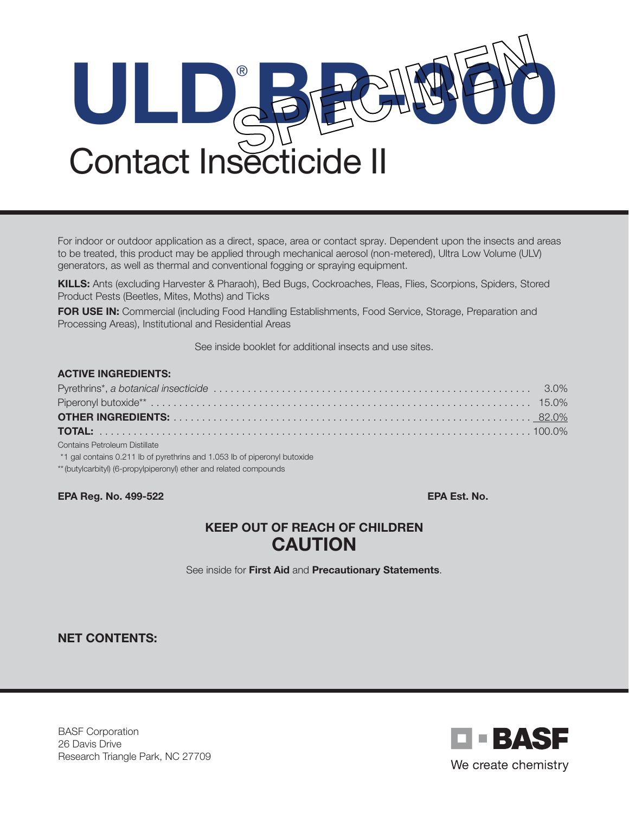

For indoor or outdoor application as a direct, space, area or contact spray. Dependent upon the insects and areas to be treated, this product may be applied through mechanical aerosol (non-metered), Ultra Low Volume (ULV) generators, as well as thermal and conventional fogging or spraying equipment.

KILLS: Ants (excluding Harvester & Pharaoh), Bed Bugs, Cockroaches, Fleas, Flies, Scorpions, Spiders, Stored Product Pests (Beetles, Mites, Moths) and Ticks

FOR USE IN: Commercial (including Food Handling Establishments, Food Service, Storage, Preparation and Processing Areas), Institutional and Residential Areas

See inside booklet for additional insects and use sites.

| <b>ACTIVE INGREDIENTS:</b>                                                |  |
|---------------------------------------------------------------------------|--|
|                                                                           |  |
|                                                                           |  |
|                                                                           |  |
|                                                                           |  |
| Contains Petroleum Distillate                                             |  |
| *1 gal contains 0.211 lb of pyrethrins and 1.053 lb of piperonyl butoxide |  |

\*\*(butylcarbityl) (6-propylpiperonyl) ether and related compounds

EPA Reg. No. 499-522 EPA Est. No.

# KEEP OUT OF REACH OF CHILDREN **CAUTION**

See inside for First Aid and Precautionary Statements.

NET CONTENTS:

BASF Corporation 26 Davis Drive Research Triangle Park, NC 27709

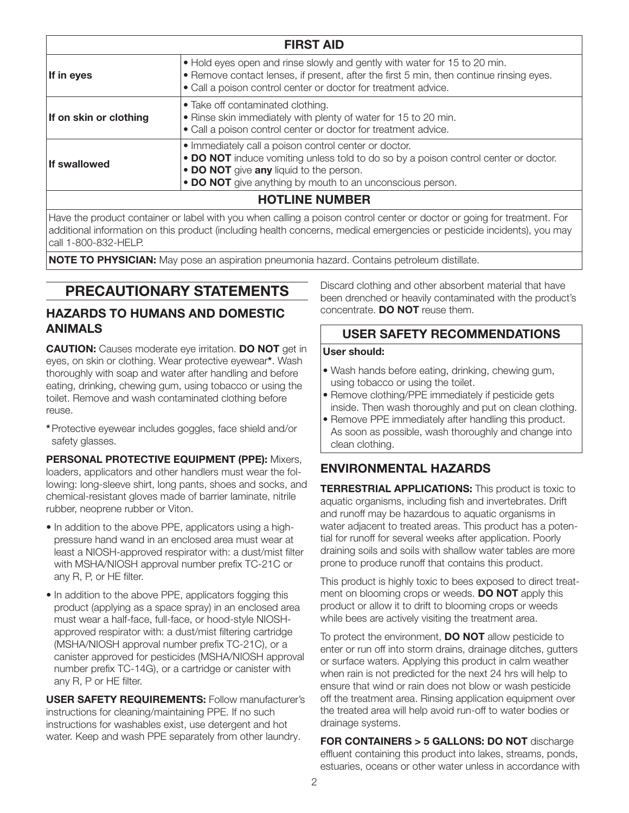| <b>FIRST AID</b>       |                                                                                                                                                                                                                                                      |  |  |
|------------------------|------------------------------------------------------------------------------------------------------------------------------------------------------------------------------------------------------------------------------------------------------|--|--|
| If in eyes             | . Hold eyes open and rinse slowly and gently with water for 15 to 20 min.<br>• Remove contact lenses, if present, after the first 5 min, then continue rinsing eyes.<br>• Call a poison control center or doctor for treatment advice.               |  |  |
| If on skin or clothing | • Take off contaminated clothing.<br>• Rinse skin immediately with plenty of water for 15 to 20 min.<br>• Call a poison control center or doctor for treatment advice.                                                                               |  |  |
| <b>If swallowed</b>    | • Immediately call a poison control center or doctor.<br>• DO NOT induce vomiting unless told to do so by a poison control center or doctor.<br>• DO NOT give any liquid to the person.<br>• DO NOT give anything by mouth to an unconscious person. |  |  |
| <b>HOTLINE NUMBER</b>  |                                                                                                                                                                                                                                                      |  |  |

Have the product container or label with you when calling a poison control center or doctor or going for treatment. For additional information on this product (including health concerns, medical emergencies or pesticide incidents), you may call 1-800-832-HELP.

NOTE TO PHYSICIAN: May pose an aspiration pneumonia hazard. Contains petroleum distillate.

# PRECAUTIONARY STATEMENTS

# HAZARDS TO HUMANS AND DOMESTIC ANIMALS

**CAUTION:** Causes moderate eye irritation. DO NOT get in eyes, on skin or clothing. Wear protective eyewear\*. Wash thoroughly with soap and water after handling and before eating, drinking, chewing gum, using tobacco or using the toilet. Remove and wash contaminated clothing before reuse.

\*Protective eyewear includes goggles, face shield and/or safety glasses.

PERSONAL PROTECTIVE EQUIPMENT (PPE): Mixers, loaders, applicators and other handlers must wear the following: long-sleeve shirt, long pants, shoes and socks, and chemical-resistant gloves made of barrier laminate, nitrile rubber, neoprene rubber or Viton.

- In addition to the above PPE, applicators using a highpressure hand wand in an enclosed area must wear at least a NIOSH-approved respirator with: a dust/mist filter with MSHA/NIOSH approval number prefix TC-21C or any R, P, or HE filter.
- In addition to the above PPE, applicators fogging this product (applying as a space spray) in an enclosed area must wear a half-face, full-face, or hood-style NIOSHapproved respirator with: a dust/mist filtering cartridge (MSHA/NIOSH approval number prefix TC-21C), or a canister approved for pesticides (MSHA/NIOSH approval number prefix TC-14G), or a cartridge or canister with any R, P or HE filter.

USER SAFETY REQUIREMENTS: Follow manufacturer's instructions for cleaning/maintaining PPE. If no such instructions for washables exist, use detergent and hot water. Keep and wash PPE separately from other laundry.

Discard clothing and other absorbent material that have been drenched or heavily contaminated with the product's concentrate. DO NOT reuse them.

# USER SAFETY RECOMMENDATIONS

### User should:

- Wash hands before eating, drinking, chewing gum, using tobacco or using the toilet.
- Remove clothing/PPE immediately if pesticide gets inside. Then wash thoroughly and put on clean clothing.
- Remove PPE immediately after handling this product. As soon as possible, wash thoroughly and change into clean clothing.

# ENVIRONMENTAL HAZARDS

**TERRESTRIAL APPLICATIONS:** This product is toxic to aquatic organisms, including fish and invertebrates. Drift and runoff may be hazardous to aquatic organisms in water adjacent to treated areas. This product has a potential for runoff for several weeks after application. Poorly draining soils and soils with shallow water tables are more prone to produce runoff that contains this product.

This product is highly toxic to bees exposed to direct treatment on blooming crops or weeds. **DO NOT** apply this product or allow it to drift to blooming crops or weeds while bees are actively visiting the treatment area.

To protect the environment, **DO NOT** allow pesticide to enter or run off into storm drains, drainage ditches, gutters or surface waters. Applying this product in calm weather when rain is not predicted for the next 24 hrs will help to ensure that wind or rain does not blow or wash pesticide off the treatment area. Rinsing application equipment over the treated area will help avoid run-off to water bodies or drainage systems.

FOR CONTAINERS > 5 GALLONS: DO NOT discharge effluent containing this product into lakes, streams, ponds, estuaries, oceans or other water unless in accordance with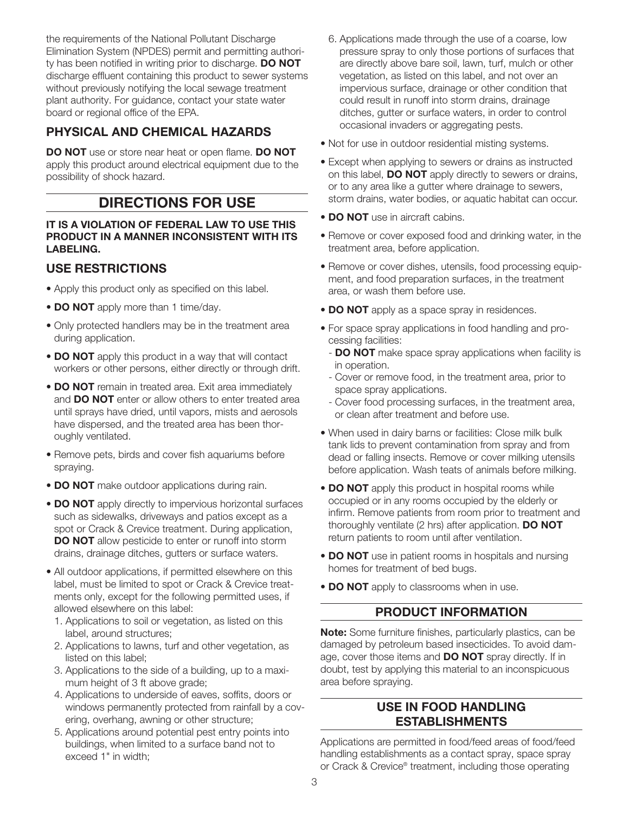the requirements of the National Pollutant Discharge Elimination System (NPDES) permit and permitting authority has been notified in writing prior to discharge. DO NOT discharge effluent containing this product to sewer systems without previously notifying the local sewage treatment plant authority. For guidance, contact your state water board or regional office of the EPA.

# PHYSICAL AND CHEMICAL HAZARDS

DO NOT use or store near heat or open flame. DO NOT apply this product around electrical equipment due to the possibility of shock hazard.

# DIRECTIONS FOR USE

#### IT IS A VIOLATION OF FEDERAL LAW TO USE THIS PRODUCT IN A MANNER INCONSISTENT WITH ITS LABELING.

# USE RESTRICTIONS

- Apply this product only as specified on this label.
- DO NOT apply more than 1 time/day.
- Only protected handlers may be in the treatment area during application.
- DO NOT apply this product in a way that will contact workers or other persons, either directly or through drift.
- DO NOT remain in treated area. Exit area immediately and **DO NOT** enter or allow others to enter treated area until sprays have dried, until vapors, mists and aerosols have dispersed, and the treated area has been thoroughly ventilated.
- Remove pets, birds and cover fish aquariums before spraying.
- DO NOT make outdoor applications during rain.
- **DO NOT** apply directly to impervious horizontal surfaces such as sidewalks, driveways and patios except as a spot or Crack & Crevice treatment. During application, **DO NOT** allow pesticide to enter or runoff into storm drains, drainage ditches, gutters or surface waters.
- All outdoor applications, if permitted elsewhere on this label, must be limited to spot or Crack & Crevice treatments only, except for the following permitted uses, if allowed elsewhere on this label:
	- 1. Applications to soil or vegetation, as listed on this label, around structures;
	- 2. Applications to lawns, turf and other vegetation, as listed on this label;
	- 3. Applications to the side of a building, up to a maximum height of 3 ft above grade;
	- 4. Applications to underside of eaves, soffits, doors or windows permanently protected from rainfall by a covering, overhang, awning or other structure;
	- 5. Applications around potential pest entry points into buildings, when limited to a surface band not to exceed 1" in width;
- 6. Applications made through the use of a coarse, low pressure spray to only those portions of surfaces that are directly above bare soil, lawn, turf, mulch or other vegetation, as listed on this label, and not over an impervious surface, drainage or other condition that could result in runoff into storm drains, drainage ditches, gutter or surface waters, in order to control occasional invaders or aggregating pests.
- Not for use in outdoor residential misting systems.
- Except when applying to sewers or drains as instructed on this label, **DO NOT** apply directly to sewers or drains, or to any area like a gutter where drainage to sewers, storm drains, water bodies, or aquatic habitat can occur.
- **DO NOT** use in aircraft cabins.
- Remove or cover exposed food and drinking water, in the treatment area, before application.
- Remove or cover dishes, utensils, food processing equipment, and food preparation surfaces, in the treatment area, or wash them before use.
- DO NOT apply as a space spray in residences.
- For space spray applications in food handling and processing facilities:
	- **DO NOT** make space spray applications when facility is in operation.
	- Cover or remove food, in the treatment area, prior to space spray applications.
	- Cover food processing surfaces, in the treatment area, or clean after treatment and before use.
- When used in dairy barns or facilities: Close milk bulk tank lids to prevent contamination from spray and from dead or falling insects. Remove or cover milking utensils before application. Wash teats of animals before milking.
- DO NOT apply this product in hospital rooms while occupied or in any rooms occupied by the elderly or infirm. Remove patients from room prior to treatment and thoroughly ventilate (2 hrs) after application. **DO NOT** return patients to room until after ventilation.
- DO NOT use in patient rooms in hospitals and nursing homes for treatment of bed bugs.
- DO NOT apply to classrooms when in use.

# PRODUCT INFORMATION

Note: Some furniture finishes, particularly plastics, can be damaged by petroleum based insecticides. To avoid damage, cover those items and **DO NOT** spray directly. If in doubt, test by applying this material to an inconspicuous area before spraying.

# USE IN FOOD HANDLING ESTABLISHMENTS

Applications are permitted in food/feed areas of food/feed handling establishments as a contact spray, space spray or Crack & Crevice® treatment, including those operating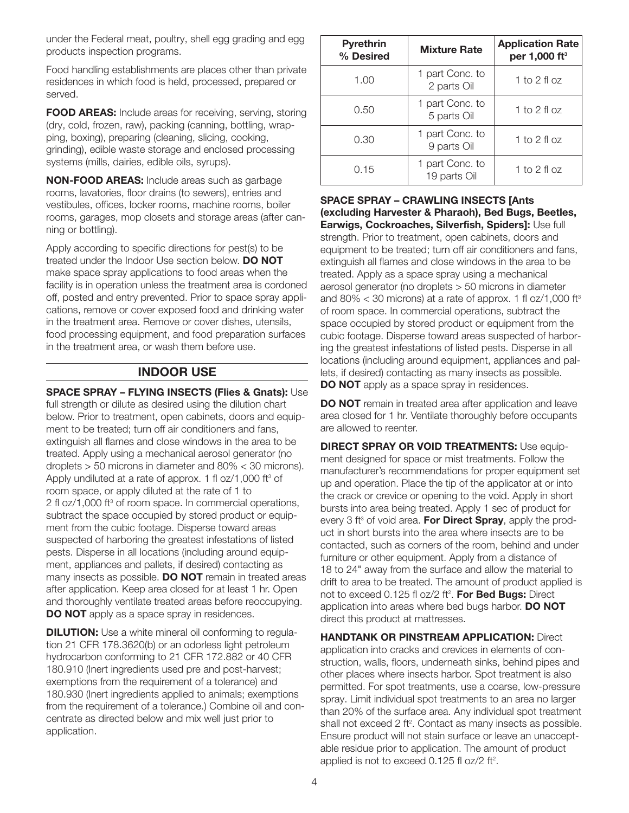under the Federal meat, poultry, shell egg grading and egg products inspection programs.

Food handling establishments are places other than private residences in which food is held, processed, prepared or served.

FOOD AREAS: Include areas for receiving, serving, storing (dry, cold, frozen, raw), packing (canning, bottling, wrapping, boxing), preparing (cleaning, slicing, cooking, grinding), edible waste storage and enclosed processing systems (mills, dairies, edible oils, syrups).

NON-FOOD AREAS: Include areas such as garbage rooms, lavatories, floor drains (to sewers), entries and vestibules, offices, locker rooms, machine rooms, boiler rooms, garages, mop closets and storage areas (after canning or bottling).

Apply according to specific directions for pest(s) to be treated under the Indoor Use section below. **DO NOT** make space spray applications to food areas when the facility is in operation unless the treatment area is cordoned off, posted and entry prevented. Prior to space spray applications, remove or cover exposed food and drinking water in the treatment area. Remove or cover dishes, utensils, food processing equipment, and food preparation surfaces in the treatment area, or wash them before use.

# INDOOR USE

SPACE SPRAY – FLYING INSECTS (Flies & Gnats): Use full strength or dilute as desired using the dilution chart below. Prior to treatment, open cabinets, doors and equipment to be treated; turn off air conditioners and fans, extinguish all flames and close windows in the area to be treated. Apply using a mechanical aerosol generator (no droplets > 50 microns in diameter and 80% < 30 microns). Apply undiluted at a rate of approx. 1 fl oz/1,000 ft $3$  of room space, or apply diluted at the rate of 1 to 2 fl oz/1,000 ft<sup>3</sup> of room space. In commercial operations, subtract the space occupied by stored product or equipment from the cubic footage. Disperse toward areas suspected of harboring the greatest infestations of listed pests. Disperse in all locations (including around equipment, appliances and pallets, if desired) contacting as many insects as possible. **DO NOT** remain in treated areas after application. Keep area closed for at least 1 hr. Open and thoroughly ventilate treated areas before reoccupying. **DO NOT** apply as a space spray in residences.

**DILUTION:** Use a white mineral oil conforming to regulation 21 CFR 178.3620(b) or an odorless light petroleum hydrocarbon conforming to 21 CFR 172.882 or 40 CFR 180.910 (Inert ingredients used pre and post-harvest; exemptions from the requirement of a tolerance) and 180.930 (Inert ingredients applied to animals; exemptions from the requirement of a tolerance.) Combine oil and concentrate as directed below and mix well just prior to application.

| <b>Pyrethrin</b><br>% Desired | <b>Mixture Rate</b>             | <b>Application Rate</b><br>per 1,000 ft <sup>3</sup> |
|-------------------------------|---------------------------------|------------------------------------------------------|
| 1.00                          | 1 part Conc. to<br>2 parts Oil  | 1 to 2 fl oz                                         |
| 0.50                          | 1 part Conc. to<br>5 parts Oil  | 1 to 2 fl oz                                         |
| 0.30                          | 1 part Conc. to<br>9 parts Oil  | 1 to 2 fl oz                                         |
| 0.15                          | 1 part Conc. to<br>19 parts Oil | 1 to 2 fl oz                                         |

#### SPACE SPRAY – CRAWLING INSECTS [Ants (excluding Harvester & Pharaoh), Bed Bugs, Beetles, Earwigs, Cockroaches, Silverfish, Spiders]: Use full strength. Prior to treatment, open cabinets, doors and equipment to be treated; turn off air conditioners and fans, extinguish all flames and close windows in the area to be treated. Apply as a space spray using a mechanical aerosol generator (no droplets > 50 microns in diameter and  $80\% < 30$  microns) at a rate of approx. 1 fl oz/1,000 ft<sup>3</sup> of room space. In commercial operations, subtract the space occupied by stored product or equipment from the cubic footage. Disperse toward areas suspected of harboring the greatest infestations of listed pests. Disperse in all locations (including around equipment, appliances and pallets, if desired) contacting as many insects as possible. **DO NOT** apply as a space spray in residences.

**DO NOT** remain in treated area after application and leave area closed for 1 hr. Ventilate thoroughly before occupants are allowed to reenter.

**DIRECT SPRAY OR VOID TREATMENTS: Use equip**ment designed for space or mist treatments. Follow the manufacturer's recommendations for proper equipment set up and operation. Place the tip of the applicator at or into the crack or crevice or opening to the void. Apply in short bursts into area being treated. Apply 1 sec of product for every 3 ft $3$  of void area. For Direct Spray, apply the product in short bursts into the area where insects are to be contacted, such as corners of the room, behind and under furniture or other equipment. Apply from a distance of 18 to 24" away from the surface and allow the material to drift to area to be treated. The amount of product applied is not to exceed 0.125 fl oz/2 ft<sup>2</sup>. **For Bed Bugs:** Direct application into areas where bed bugs harbor. **DO NOT** direct this product at mattresses.

**HANDTANK OR PINSTREAM APPLICATION: Direct** application into cracks and crevices in elements of construction, walls, floors, underneath sinks, behind pipes and other places where insects harbor. Spot treatment is also permitted. For spot treatments, use a coarse, low-pressure spray. Limit individual spot treatments to an area no larger than 20% of the surface area. Any individual spot treatment shall not exceed 2 ft<sup>2</sup>. Contact as many insects as possible. Ensure product will not stain surface or leave an unacceptable residue prior to application. The amount of product applied is not to exceed 0.125 fl oz/2 ft<sup>2</sup>.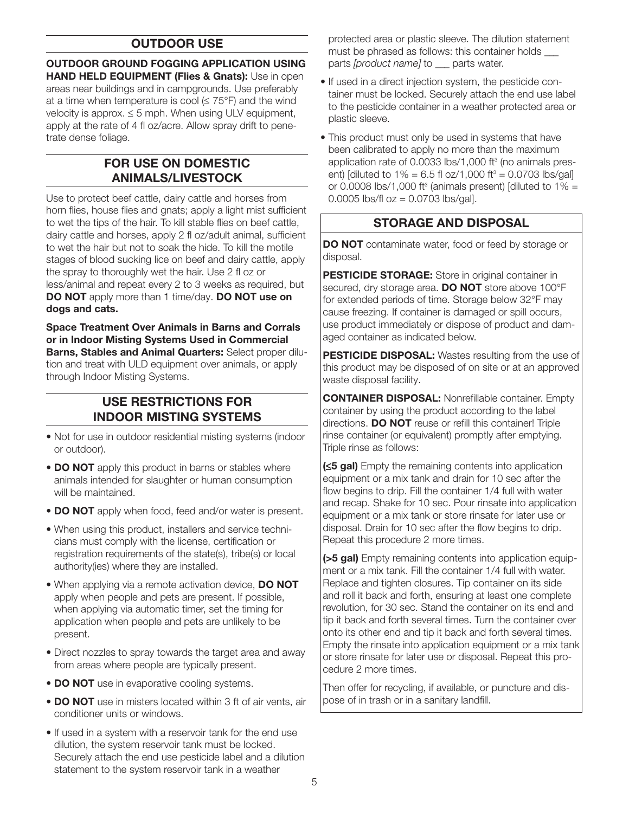# OUTDOOR USE

OUTDOOR GROUND FOGGING APPLICATION USING HAND HELD EQUIPMENT (Flies & Gnats): Use in open areas near buildings and in campgrounds. Use preferably at a time when temperature is cool  $( \leq 75^{\circ}F)$  and the wind velocity is approx.  $\leq$  5 mph. When using ULV equipment, apply at the rate of 4 fl oz/acre. Allow spray drift to penetrate dense foliage.

# FOR USE ON DOMESTIC ANIMALS/LIVESTOCK

Use to protect beef cattle, dairy cattle and horses from horn flies, house flies and gnats; apply a light mist sufficient to wet the tips of the hair. To kill stable flies on beef cattle, dairy cattle and horses, apply 2 fl oz/adult animal, sufficient to wet the hair but not to soak the hide. To kill the motile stages of blood sucking lice on beef and dairy cattle, apply the spray to thoroughly wet the hair. Use 2 fl oz or less/animal and repeat every 2 to 3 weeks as required, but DO NOT apply more than 1 time/day. DO NOT use on dogs and cats.

Space Treatment Over Animals in Barns and Corrals or in Indoor Misting Systems Used in Commercial Barns, Stables and Animal Quarters: Select proper dilution and treat with ULD equipment over animals, or apply through Indoor Misting Systems.

# USE RESTRICTIONS FOR INDOOR MISTING SYSTEMS

- Not for use in outdoor residential misting systems (indoor or outdoor).
- DO NOT apply this product in barns or stables where animals intended for slaughter or human consumption will be maintained.
- **DO NOT** apply when food, feed and/or water is present.
- When using this product, installers and service technicians must comply with the license, certification or registration requirements of the state(s), tribe(s) or local authority(ies) where they are installed.
- When applying via a remote activation device, DO NOT apply when people and pets are present. If possible, when applying via automatic timer, set the timing for application when people and pets are unlikely to be present.
- Direct nozzles to spray towards the target area and away from areas where people are typically present.
- DO NOT use in evaporative cooling systems.
- **DO NOT** use in misters located within 3 ft of air vents, air conditioner units or windows.
- If used in a system with a reservoir tank for the end use dilution, the system reservoir tank must be locked. Securely attach the end use pesticide label and a dilution statement to the system reservoir tank in a weather

protected area or plastic sleeve. The dilution statement must be phrased as follows: this container holds parts *[product name]* to parts water.

- If used in a direct injection system, the pesticide con tainer must be locked. Securely attach the end use label to the pesticide container in a weather protected area or plastic sleeve.
- This product must only be used in systems that have been calibrated to apply no more than the maximum application rate of  $0.0033$  lbs/1,000 ft $3$  (no animals present) [diluted to  $1\% = 6.5$  fl oz/1,000 ft<sup>3</sup> = 0.0703 lbs/gal] or 0.0008 lbs/1,000 ft<sup>3</sup> (animals present) [diluted to  $1\% =$ 0.0005 lbs/fl  $oz = 0.0703$  lbs/gal].

## STORAGE AND DISPOSAL

DO NOT contaminate water, food or feed by storage or disposal.

PESTICIDE STORAGE: Store in original container in secured, dry storage area. **DO NOT** store above 100°F for extended periods of time. Storage below 32°F may cause freezing. If container is damaged or spill occurs, use product immediately or dispose of product and damaged container as indicated below.

PESTICIDE DISPOSAL: Wastes resulting from the use of this product may be disposed of on site or at an approved waste disposal facility.

CONTAINER DISPOSAL: Nonrefillable container. Empty container by using the product according to the label directions. **DO NOT** reuse or refill this container! Triple rinse container (or equivalent) promptly after emptying. Triple rinse as follows:

(≤5 gal) Empty the remaining contents into application equipment or a mix tank and drain for 10 sec after the flow begins to drip. Fill the container 1/4 full with water and recap. Shake for 10 sec. Pour rinsate into application equipment or a mix tank or store rinsate for later use or disposal. Drain for 10 sec after the flow begins to drip. Repeat this procedure 2 more times.

(>5 gal) Empty remaining contents into application equipment or a mix tank. Fill the container 1/4 full with water. Replace and tighten closures. Tip container on its side and roll it back and forth, ensuring at least one complete revolution, for 30 sec. Stand the container on its end and tip it back and forth several times. Turn the container over onto its other end and tip it back and forth several times. Empty the rinsate into application equipment or a mix tank or store rinsate for later use or disposal. Repeat this procedure 2 more times.

Then offer for recycling, if available, or puncture and dispose of in trash or in a sanitary landfill.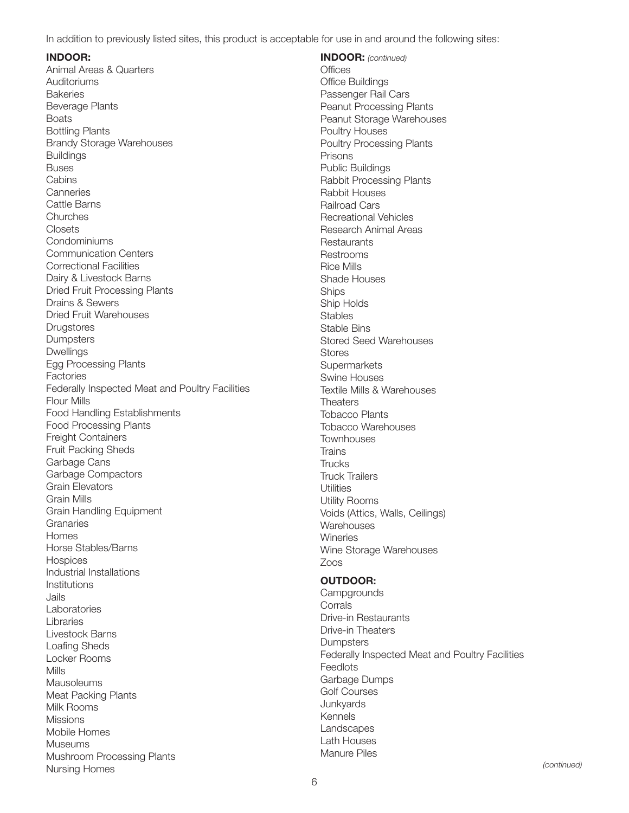In addition to previously listed sites, this product is acceptable for use in and around the following sites:

#### INDOOR:

Animal Areas & Quarters **Auditoriums Bakeries** Beverage Plants **Boats** Bottling Plants Brandy Storage Warehouses Buildings Buses **Cabins Canneries** Cattle Barns Churches Closets Condominiums Communication Centers Correctional Facilities Dairy & Livestock Barns Dried Fruit Processing Plants Drains & Sewers Dried Fruit Warehouses **Drugstores** Dumpsters Dwellings Egg Processing Plants Factories Federally Inspected Meat and Poultry Facilities Flour Mills Food Handling Establishments Food Processing Plants Freight Containers Fruit Packing Sheds Garbage Cans Garbage Compactors Grain Elevators Grain Mills Grain Handling Equipment **Granaries** Homes Horse Stables/Barns **Hospices** Industrial Installations Institutions Jails Laboratories Libraries Livestock Barns Loafing Sheds Locker Rooms Mills **Mausoleums** Meat Packing Plants Milk Rooms **Missions** Mobile Homes Museums Mushroom Processing Plants Nursing Homes

INDOOR: *(continued)* **Offices** Office Buildings Passenger Rail Cars Peanut Processing Plants Peanut Storage Warehouses Poultry Houses Poultry Processing Plants Prisons Public Buildings Rabbit Processing Plants Rabbit Houses Railroad Cars Recreational Vehicles Research Animal Areas **Restaurants** Restrooms Rice Mills Shade Houses **Ships** Ship Holds **Stables** Stable Bins Stored Seed Warehouses Stores **Supermarkets** Swine Houses Textile Mills & Warehouses **Theaters** Tobacco Plants Tobacco Warehouses **Townhouses Trains Trucks** Truck Trailers **Utilities** Utility Rooms Voids (Attics, Walls, Ceilings) **Warehouses Wineries** Wine Storage Warehouses Zoos

#### OUTDOOR:

**Campgrounds** Corrals Drive-in Restaurants Drive-in Theaters **Dumpsters** Federally Inspected Meat and Poultry Facilities Feedlots Garbage Dumps Golf Courses **Junkyards** Kennels Landscapes Lath Houses Manure Piles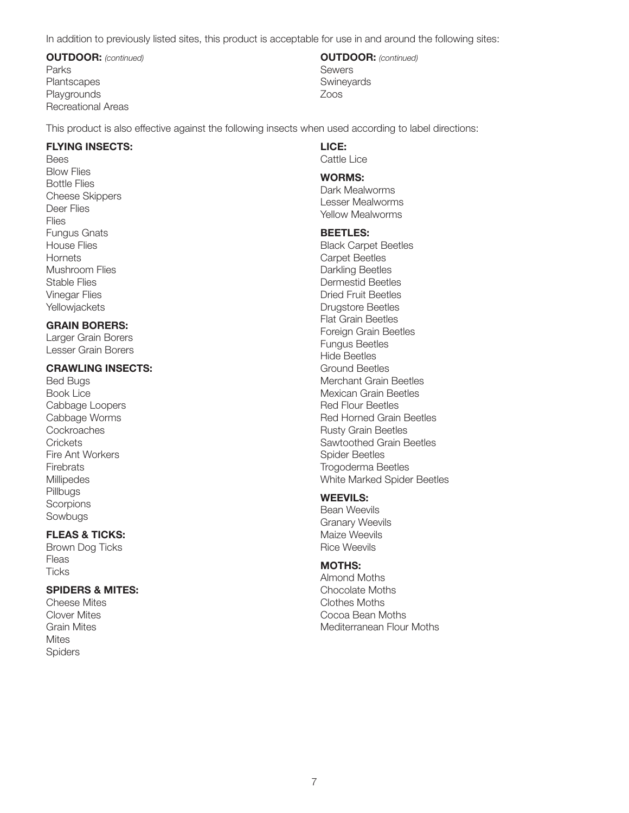In addition to previously listed sites, this product is acceptable for use in and around the following sites:

OUTDOOR: *(continued)* Parks **Plantscapes Playgrounds** Recreational Areas

OUTDOOR: *(continued)* Sewers **Swineyards** Zoos

This product is also effective against the following insects when used according to label directions:

#### FLYING INSECTS:

Bees Blow Flies Bottle Flies Cheese Skippers Deer Flies Flies Fungus Gnats House Flies **Hornets** Mushroom Flies Stable Flies Vinegar Flies **Yellowjackets** 

#### GRAIN BORERS:

Larger Grain Borers Lesser Grain Borers

#### CRAWLING INSECTS:

Bed Bugs Book Lice Cabbage Loopers Cabbage Worms **Cockroaches Crickets** Fire Ant Workers **Firebrats Millipedes** Pillbugs **Scorpions Sowbugs** 

## FLEAS & TICKS:

Brown Dog Ticks Fleas **Ticks** 

### SPIDERS & MITES:

Cheese Mites Clover Mites Grain Mites **Mites Spiders** 

# LICE:

Cattle Lice

#### WORMS:

Dark Mealworms Lesser Mealworms Yellow Mealworms

#### BEETLES:

Black Carpet Beetles Carpet Beetles Darkling Beetles Dermestid Beetles Dried Fruit Beetles Drugstore Beetles Flat Grain Beetles Foreign Grain Beetles Fungus Beetles Hide Beetles Ground Beetles Merchant Grain Beetles Mexican Grain Beetles Red Flour Beetles Red Horned Grain Beetles Rusty Grain Beetles Sawtoothed Grain Beetles Spider Beetles Trogoderma Beetles White Marked Spider Beetles

#### WEEVILS:

Bean Weevils Granary Weevils Maize Weevils Rice Weevils

### MOTHS:

Almond Moths Chocolate Moths Clothes Moths Cocoa Bean Moths Mediterranean Flour Moths